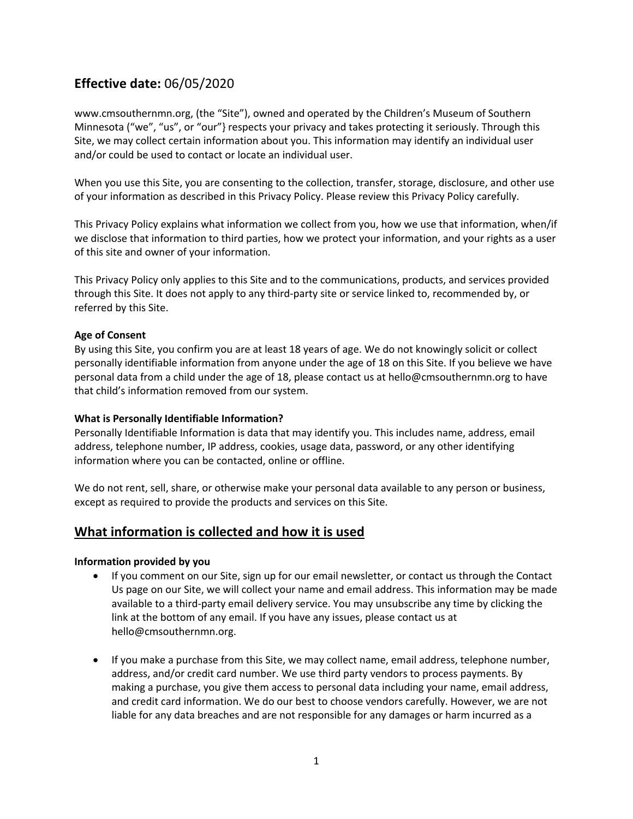# **Effective date:** 06/05/2020

www.cmsouthernmn.org, (the "Site"), owned and operated by the Children's Museum of Southern Minnesota ("we", "us", or "our"} respects your privacy and takes protecting it seriously. Through this Site, we may collect certain information about you. This information may identify an individual user and/or could be used to contact or locate an individual user.

When you use this Site, you are consenting to the collection, transfer, storage, disclosure, and other use of your information as described in this Privacy Policy. Please review this Privacy Policy carefully.

This Privacy Policy explains what information we collect from you, how we use that information, when/if we disclose that information to third parties, how we protect your information, and your rights as a user of this site and owner of your information.

This Privacy Policy only applies to this Site and to the communications, products, and services provided through this Site. It does not apply to any third-party site or service linked to, recommended by, or referred by this Site.

### **Age of Consent**

By using this Site, you confirm you are at least 18 years of age. We do not knowingly solicit or collect personally identifiable information from anyone under the age of 18 on this Site. If you believe we have personal data from a child under the age of 18, please contact us at hello@cmsouthernmn.org to have that child's information removed from our system.

### **What is Personally Identifiable Information?**

Personally Identifiable Information is data that may identify you. This includes name, address, email address, telephone number, IP address, cookies, usage data, password, or any other identifying information where you can be contacted, online or offline.

We do not rent, sell, share, or otherwise make your personal data available to any person or business, except as required to provide the products and services on this Site.

### **What information is collected and how it is used**

### **Information provided by you**

- If you comment on our Site, sign up for our email newsletter, or contact us through the Contact Us page on our Site, we will collect your name and email address. This information may be made available to a third-party email delivery service. You may unsubscribe any time by clicking the link at the bottom of any email. If you have any issues, please contact us at hello@cmsouthernmn.org.
- If you make a purchase from this Site, we may collect name, email address, telephone number, address, and/or credit card number. We use third party vendors to process payments. By making a purchase, you give them access to personal data including your name, email address, and credit card information. We do our best to choose vendors carefully. However, we are not liable for any data breaches and are not responsible for any damages or harm incurred as a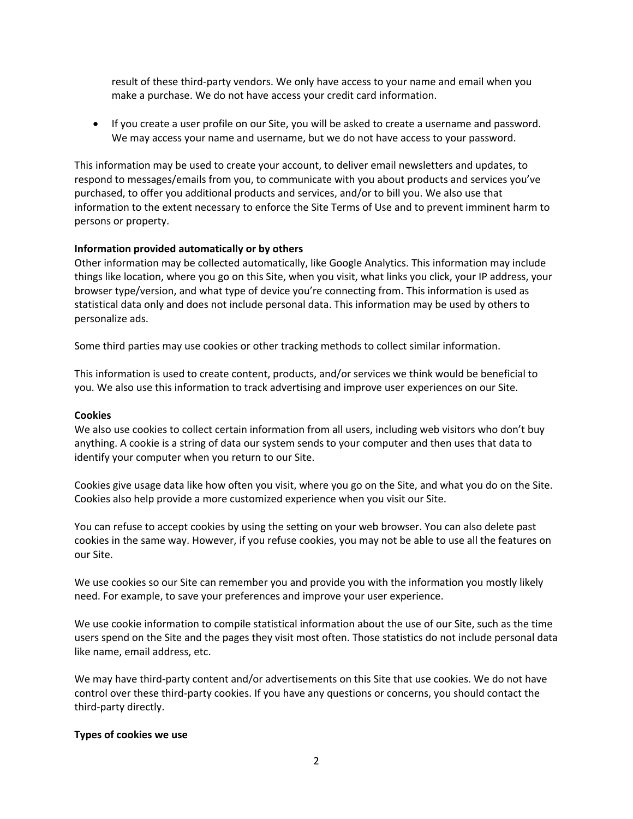result of these third-party vendors. We only have access to your name and email when you make a purchase. We do not have access your credit card information.

• If you create a user profile on our Site, you will be asked to create a username and password. We may access your name and username, but we do not have access to your password.

This information may be used to create your account, to deliver email newsletters and updates, to respond to messages/emails from you, to communicate with you about products and services you've purchased, to offer you additional products and services, and/or to bill you. We also use that information to the extent necessary to enforce the Site Terms of Use and to prevent imminent harm to persons or property.

### **Information provided automatically or by others**

Other information may be collected automatically, like Google Analytics. This information may include things like location, where you go on this Site, when you visit, what links you click, your IP address, your browser type/version, and what type of device you're connecting from. This information is used as statistical data only and does not include personal data. This information may be used by others to personalize ads.

Some third parties may use cookies or other tracking methods to collect similar information.

This information is used to create content, products, and/or services we think would be beneficial to you. We also use this information to track advertising and improve user experiences on our Site.

### **Cookies**

We also use cookies to collect certain information from all users, including web visitors who don't buy anything. A cookie is a string of data our system sends to your computer and then uses that data to identify your computer when you return to our Site.

Cookies give usage data like how often you visit, where you go on the Site, and what you do on the Site. Cookies also help provide a more customized experience when you visit our Site.

You can refuse to accept cookies by using the setting on your web browser. You can also delete past cookies in the same way. However, if you refuse cookies, you may not be able to use all the features on our Site.

We use cookies so our Site can remember you and provide you with the information you mostly likely need. For example, to save your preferences and improve your user experience.

We use cookie information to compile statistical information about the use of our Site, such as the time users spend on the Site and the pages they visit most often. Those statistics do not include personal data like name, email address, etc.

We may have third-party content and/or advertisements on this Site that use cookies. We do not have control over these third-party cookies. If you have any questions or concerns, you should contact the third-party directly.

### **Types of cookies we use**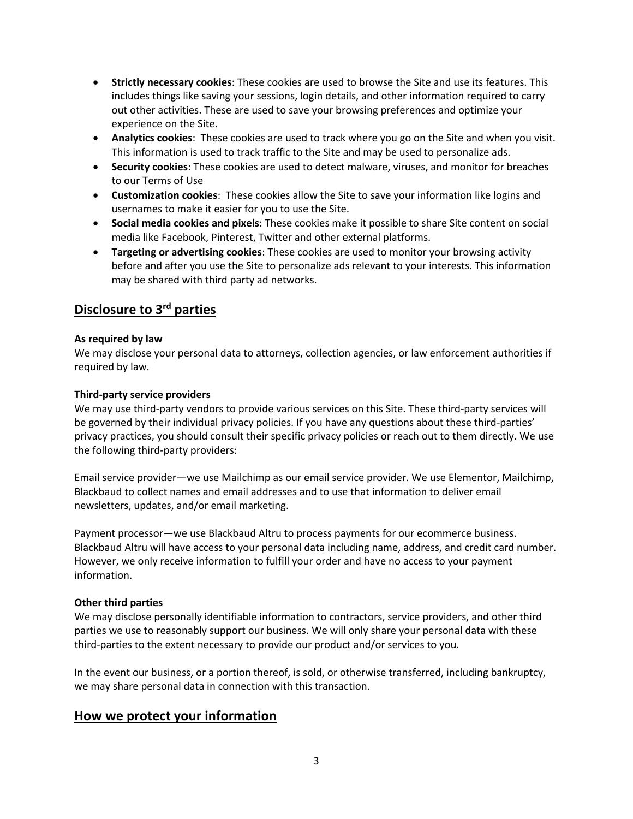- **Strictly necessary cookies**: These cookies are used to browse the Site and use its features. This includes things like saving your sessions, login details, and other information required to carry out other activities. These are used to save your browsing preferences and optimize your experience on the Site.
- **Analytics cookies**: These cookies are used to track where you go on the Site and when you visit. This information is used to track traffic to the Site and may be used to personalize ads.
- **Security cookies**: These cookies are used to detect malware, viruses, and monitor for breaches to our Terms of Use
- **Customization cookies**: These cookies allow the Site to save your information like logins and usernames to make it easier for you to use the Site.
- **Social media cookies and pixels**: These cookies make it possible to share Site content on social media like Facebook, Pinterest, Twitter and other external platforms.
- **Targeting or advertising cookies**: These cookies are used to monitor your browsing activity before and after you use the Site to personalize ads relevant to your interests. This information may be shared with third party ad networks.

# **Disclosure to 3rd parties**

### **As required by law**

We may disclose your personal data to attorneys, collection agencies, or law enforcement authorities if required by law.

### **Third-party service providers**

We may use third-party vendors to provide various services on this Site. These third-party services will be governed by their individual privacy policies. If you have any questions about these third-parties' privacy practices, you should consult their specific privacy policies or reach out to them directly. We use the following third-party providers:

Email service provider—we use Mailchimp as our email service provider. We use Elementor, Mailchimp, Blackbaud to collect names and email addresses and to use that information to deliver email newsletters, updates, and/or email marketing.

Payment processor—we use Blackbaud Altru to process payments for our ecommerce business. Blackbaud Altru will have access to your personal data including name, address, and credit card number. However, we only receive information to fulfill your order and have no access to your payment information.

### **Other third parties**

We may disclose personally identifiable information to contractors, service providers, and other third parties we use to reasonably support our business. We will only share your personal data with these third-parties to the extent necessary to provide our product and/or services to you.

In the event our business, or a portion thereof, is sold, or otherwise transferred, including bankruptcy, we may share personal data in connection with this transaction.

### **How we protect your information**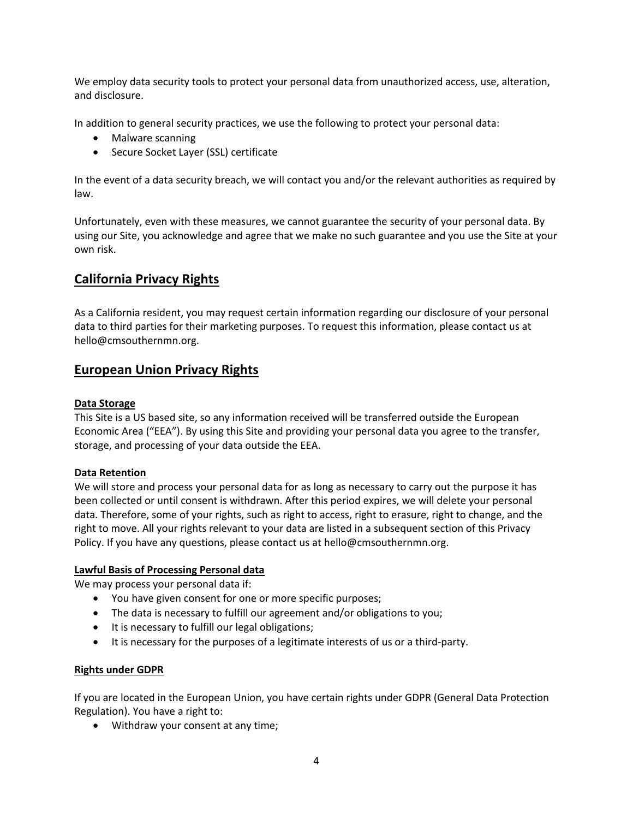We employ data security tools to protect your personal data from unauthorized access, use, alteration, and disclosure.

In addition to general security practices, we use the following to protect your personal data:

- Malware scanning
- Secure Socket Layer (SSL) certificate

In the event of a data security breach, we will contact you and/or the relevant authorities as required by law.

Unfortunately, even with these measures, we cannot guarantee the security of your personal data. By using our Site, you acknowledge and agree that we make no such guarantee and you use the Site at your own risk.

# **California Privacy Rights**

As a California resident, you may request certain information regarding our disclosure of your personal data to third parties for their marketing purposes. To request this information, please contact us at hello@cmsouthernmn.org.

# **European Union Privacy Rights**

### **Data Storage**

This Site is a US based site, so any information received will be transferred outside the European Economic Area ("EEA"). By using this Site and providing your personal data you agree to the transfer, storage, and processing of your data outside the EEA.

### **Data Retention**

We will store and process your personal data for as long as necessary to carry out the purpose it has been collected or until consent is withdrawn. After this period expires, we will delete your personal data. Therefore, some of your rights, such as right to access, right to erasure, right to change, and the right to move. All your rights relevant to your data are listed in a subsequent section of this Privacy Policy. If you have any questions, please contact us at hello@cmsouthernmn.org.

### **Lawful Basis of Processing Personal data**

We may process your personal data if:

- You have given consent for one or more specific purposes;
- The data is necessary to fulfill our agreement and/or obligations to you;
- It is necessary to fulfill our legal obligations;
- It is necessary for the purposes of a legitimate interests of us or a third-party.

### **Rights under GDPR**

If you are located in the European Union, you have certain rights under GDPR (General Data Protection Regulation). You have a right to:

• Withdraw your consent at any time;